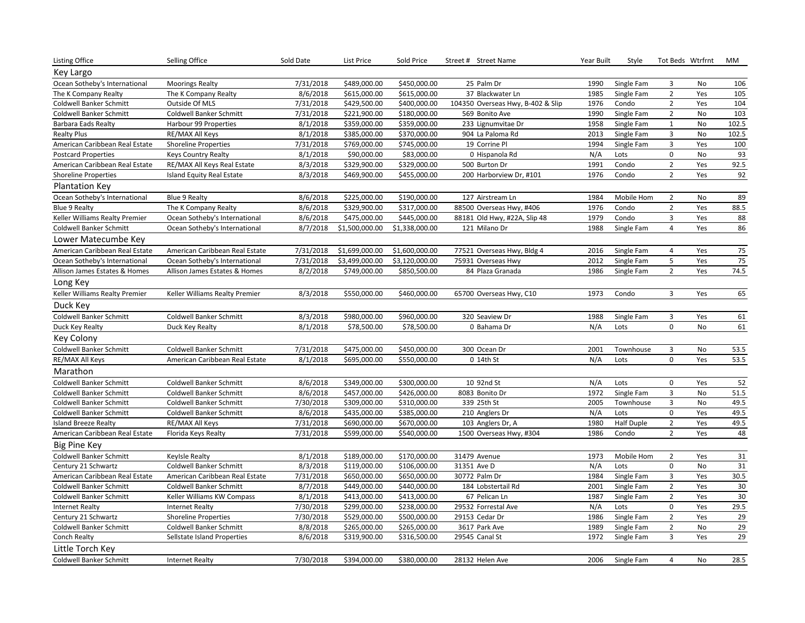| Listing Office                 | Selling Office                 | Sold Date | List Price     | Sold Price     | Street # Street Name              | Year Built | Style             |                     | Tot Beds Wtrfrnt | МM                |
|--------------------------------|--------------------------------|-----------|----------------|----------------|-----------------------------------|------------|-------------------|---------------------|------------------|-------------------|
| Key Largo                      |                                |           |                |                |                                   |            |                   |                     |                  |                   |
| Ocean Sotheby's International  | <b>Moorings Realty</b>         | 7/31/2018 | \$489,000.00   | \$450,000.00   | 25 Palm Dr                        | 1990       | Single Fam        | 3                   | No               | 106               |
| The K Company Realty           | The K Company Realty           | 8/6/2018  | \$615,000.00   | \$615,000.00   | 37 Blackwater Ln                  | 1985       | Single Fam        | $\overline{2}$      | Yes              | 105               |
| Coldwell Banker Schmitt        | Outside Of MLS                 | 7/31/2018 | \$429,500.00   | \$400,000.00   | 104350 Overseas Hwy, B-402 & Slip | 1976       | Condo             | $\overline{2}$      | Yes              | 104               |
| Coldwell Banker Schmitt        | Coldwell Banker Schmitt        | 7/31/2018 | \$221,900.00   | \$180,000.00   | 569 Bonito Ave                    | 1990       | Single Fam        | $\overline{2}$      | No               | 103               |
| <b>Barbara Eads Realty</b>     | Harbour 99 Properties          | 8/1/2018  | \$359,000.00   | \$359,000.00   | 233 Lignumvitae Dr                | 1958       | Single Fam        | $\mathbf{1}$        | No               | 102.5             |
| <b>Realty Plus</b>             | RE/MAX All Keys                | 8/1/2018  | \$385,000.00   | \$370,000.00   | 904 La Paloma Rd                  | 2013       | Single Fam        | 3                   | No               | 102.5             |
| American Caribbean Real Estate | <b>Shoreline Properties</b>    | 7/31/2018 | \$769,000.00   | \$745,000.00   | 19 Corrine Pl                     | 1994       | Single Fam        | $\overline{3}$      | Yes              | 100               |
| <b>Postcard Properties</b>     | <b>Keys Country Realty</b>     | 8/1/2018  | \$90,000.00    | \$83,000.00    | 0 Hispanola Rd                    | N/A        | Lots              | $\mathsf 0$         | No               | 93                |
| American Caribbean Real Estate | RE/MAX All Keys Real Estate    | 8/3/2018  | \$329,900.00   | \$329,000.00   | 500 Burton Dr                     | 1991       | Condo             | $\overline{2}$      | Yes              | 92.5              |
| <b>Shoreline Properties</b>    | Island Equity Real Estate      | 8/3/2018  | \$469,900.00   | \$455,000.00   | 200 Harborview Dr, #101           | 1976       | Condo             | $\overline{2}$      | Yes              | 92                |
| <b>Plantation Key</b>          |                                |           |                |                |                                   |            |                   |                     |                  |                   |
| Ocean Sotheby's International  | <b>Blue 9 Realty</b>           | 8/6/2018  | \$225,000.00   | \$190,000.00   | 127 Airstream Ln                  | 1984       | Mobile Hom        | $\overline{2}$      | No               | 89                |
| <b>Blue 9 Realty</b>           | The K Company Realty           | 8/6/2018  | \$329,900.00   | \$317,000.00   | 88500 Overseas Hwy, #406          | 1976       | Condo             | $\overline{2}$      | Yes              | 88.5              |
| Keller Williams Realty Premier | Ocean Sotheby's International  | 8/6/2018  | \$475,000.00   | \$445,000.00   | 88181 Old Hwy, #22A, Slip 48      | 1979       | Condo             | 3                   | Yes              | 88                |
| <b>Coldwell Banker Schmitt</b> | Ocean Sotheby's International  | 8/7/2018  | \$1,500,000.00 | \$1,338,000.00 | 121 Milano Dr                     | 1988       | Single Fam        | $\overline{4}$      | Yes              | 86                |
| Lower Matecumbe Key            |                                |           |                |                |                                   |            |                   |                     |                  |                   |
| American Caribbean Real Estate | American Caribbean Real Estate | 7/31/2018 | \$1,699,000.00 | \$1,600,000.00 | 77521 Overseas Hwy, Bldg 4        | 2016       | Single Fam        | 4                   | Yes              | 75                |
| Ocean Sotheby's International  | Ocean Sotheby's International  | 7/31/2018 | \$3,499,000.00 | \$3,120,000.00 | 75931 Overseas Hwy                | 2012       | Single Fam        | 5                   | Yes              | 75                |
| Allison James Estates & Homes  | Allison James Estates & Homes  | 8/2/2018  | \$749,000.00   | \$850,500.00   | 84 Plaza Granada                  | 1986       | Single Fam        | $\overline{2}$      | Yes              | $\overline{74.5}$ |
| Long Key                       |                                |           |                |                |                                   |            |                   |                     |                  |                   |
| Keller Williams Realty Premier | Keller Williams Realty Premier | 8/3/2018  | \$550,000.00   | \$460,000.00   | 65700 Overseas Hwy, C10           | 1973       | Condo             | 3                   | Yes              | 65                |
| Duck Key                       |                                |           |                |                |                                   |            |                   |                     |                  |                   |
| <b>Coldwell Banker Schmitt</b> | <b>Coldwell Banker Schmitt</b> | 8/3/2018  | \$980,000.00   | \$960,000.00   | 320 Seaview Dr                    | 1988       | Single Fam        | 3                   | Yes              | 61                |
| Duck Key Realty                | Duck Key Realty                | 8/1/2018  | \$78,500.00    | \$78,500.00    | 0 Bahama Dr                       | N/A        | Lots              | $\mathbf 0$         | No               | 61                |
| Key Colony                     |                                |           |                |                |                                   |            |                   |                     |                  |                   |
| Coldwell Banker Schmitt        | Coldwell Banker Schmitt        | 7/31/2018 | \$475,000.00   | \$450,000.00   | 300 Ocean Dr                      | 2001       | Townhouse         | $\overline{3}$      | No               | 53.5              |
| RE/MAX All Keys                | American Caribbean Real Estate | 8/1/2018  | \$695,000.00   | \$550,000.00   | 0 14th St                         | N/A        | Lots              | $\mathsf 0$         | Yes              | 53.5              |
| Marathon                       |                                |           |                |                |                                   |            |                   |                     |                  |                   |
| <b>Coldwell Banker Schmitt</b> | Coldwell Banker Schmitt        | 8/6/2018  | \$349,000.00   | \$300,000.00   | 10 92nd St                        | N/A        | Lots              | 0                   | Yes              | 52                |
| <b>Coldwell Banker Schmitt</b> | Coldwell Banker Schmitt        | 8/6/2018  | \$457,000.00   | \$426,000.00   | 8083 Bonito Dr                    | 1972       | Single Fam        | $\overline{3}$      | No               | 51.5              |
| <b>Coldwell Banker Schmitt</b> | Coldwell Banker Schmitt        | 7/30/2018 | \$309,000.00   | \$310,000.00   | 339 25th St                       | 2005       | Townhouse         | 3                   | No               | 49.5              |
| <b>Coldwell Banker Schmitt</b> | Coldwell Banker Schmitt        | 8/6/2018  | \$435,000.00   | \$385,000.00   | 210 Anglers Dr                    | N/A        | Lots              | $\mathsf{O}\xspace$ | Yes              | 49.5              |
| <b>Island Breeze Realty</b>    | RE/MAX All Keys                | 7/31/2018 | \$690,000.00   | \$670,000.00   | 103 Anglers Dr, A                 | 1980       | <b>Half Duple</b> | $\overline{2}$      | Yes              | 49.5              |
| American Caribbean Real Estate | Florida Keys Realty            | 7/31/2018 | \$599,000.00   | \$540,000.00   | 1500 Overseas Hwy, #304           | 1986       | Condo             | $\overline{2}$      | Yes              | 48                |
| Big Pine Key                   |                                |           |                |                |                                   |            |                   |                     |                  |                   |
| Coldwell Banker Schmitt        | Keylsle Realty                 | 8/1/2018  | \$189,000.00   | \$170,000.00   | 31479 Avenue                      | 1973       | Mobile Hom        | $\overline{2}$      | Yes              | 31                |
| Century 21 Schwartz            | <b>Coldwell Banker Schmitt</b> | 8/3/2018  | \$119,000.00   | \$106,000.00   | 31351 Ave D                       | N/A        | Lots              | 0                   | No               | 31                |
| American Caribbean Real Estate | American Caribbean Real Estate | 7/31/2018 | \$650,000.00   | \$650,000.00   | 30772 Palm Dr                     | 1984       | Single Fam        | 3                   | Yes              | 30.5              |
| Coldwell Banker Schmitt        | Coldwell Banker Schmitt        | 8/7/2018  | \$449,000.00   | \$440,000.00   | 184 Lobstertail Rd                | 2001       | Single Fam        | $\overline{2}$      | Yes              | 30                |
| Coldwell Banker Schmitt        | Keller Williams KW Compass     | 8/1/2018  | \$413,000.00   | \$413,000.00   | 67 Pelican Ln                     | 1987       | Single Fam        | $\overline{2}$      | Yes              | 30                |
| <b>Internet Realty</b>         | <b>Internet Realty</b>         | 7/30/2018 | \$299,000.00   | \$238,000.00   | 29532 Forrestal Ave               | N/A        | Lots              | $\pmb{0}$           | Yes              | 29.5              |
| Century 21 Schwartz            | <b>Shoreline Properties</b>    | 7/30/2018 | \$529,000.00   | \$500,000.00   | 29153 Cedar Dr                    | 1986       | Single Fam        | $\overline{2}$      | Yes              | 29                |
| Coldwell Banker Schmitt        | Coldwell Banker Schmitt        | 8/8/2018  | \$265,000.00   | \$265,000.00   | 3617 Park Ave                     | 1989       | Single Fam        | $\overline{2}$      | No               | 29                |
| Conch Realty                   | Sellstate Island Properties    | 8/6/2018  | \$319,900.00   | \$316,500.00   | 29545 Canal St                    | 1972       | Single Fam        | $\overline{3}$      | Yes              | 29                |
| Little Torch Key               |                                |           |                |                |                                   |            |                   |                     |                  |                   |
| Coldwell Banker Schmitt        | <b>Internet Realty</b>         | 7/30/2018 | \$394,000.00   | \$380,000.00   | 28132 Helen Ave                   | 2006       | Single Fam        | 4                   | No               | 28.5              |
|                                |                                |           |                |                |                                   |            |                   |                     |                  |                   |